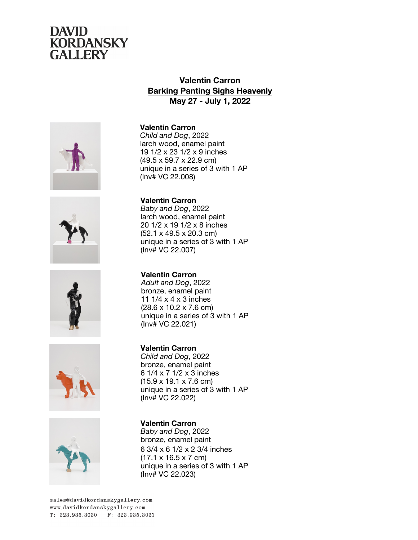

## **Valentin Carron Barking Panting Sighs Heavenly May 27 - July 1, 2022**











**Valentin Carron** *Child and Dog*, 2022 larch wood, enamel paint 19 1/2 x 23 1/2 x 9 inches (49.5 x 59.7 x 22.9 cm) unique in a series of 3 with 1 AP (Inv# VC 22.008)

**Valentin Carron** *Baby and Dog*, 2022 larch wood, enamel paint 20 1/2 x 19 1/2 x 8 inches (52.1 x 49.5 x 20.3 cm) unique in a series of 3 with 1 AP

**Valentin Carron** *Adult and Dog*, 2022 bronze, enamel paint 11 1/4 x 4 x 3 inches (28.6 x 10.2 x 7.6 cm) unique in a series of 3 with 1 AP (Inv# VC 22.021)

**Valentin Carron** *Child and Dog*, 2022 bronze, enamel paint 6 1/4 x 7 1/2 x 3 inches (15.9 x 19.1 x 7.6 cm) unique in a series of 3 with 1 AP (Inv# VC 22.022)

**Valentin Carron** *Baby and Dog*, 2022 bronze, enamel paint 6 3/4 x 6 1/2 x 2 3/4 inches (17.1 x 16.5 x 7 cm) unique in a series of 3 with 1 AP (Inv# VC 22.023)

(Inv# VC 22.007)